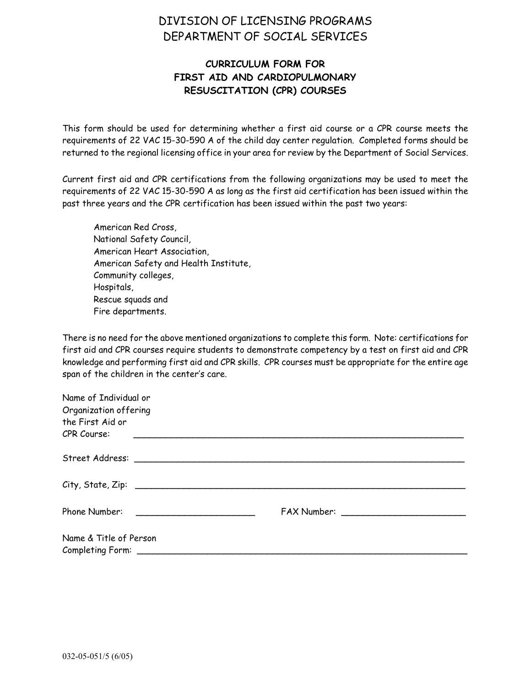## DIVISION OF LICENSING PROGRAMS DEPARTMENT OF SOCIAL SERVICES

## **CURRICULUM FORM FOR FIRST AID AND CARDIOPULMONARY RESUSCITATION (CPR) COURSES**

This form should be used for determining whether a first aid course or a CPR course meets the requirements of 22 VAC 15-30-590 A of the child day center regulation. Completed forms should be returned to the regional licensing office in your area for review by the Department of Social Services.

Current first aid and CPR certifications from the following organizations may be used to meet the requirements of 22 VAC 15-30-590 A as long as the first aid certification has been issued within the past three years and the CPR certification has been issued within the past two years:

American Red Cross, National Safety Council, American Heart Association, American Safety and Health Institute, Community colleges, Hospitals, Rescue squads and Fire departments.

There is no need for the above mentioned organizations to complete this form. Note: certifications for first aid and CPR courses require students to demonstrate competency by a test on first aid and CPR knowledge and performing first aid and CPR skills. CPR courses must be appropriate for the entire age span of the children in the center's care.

| Name of Individual or  |  |
|------------------------|--|
| Organization offering  |  |
| the First Aid or       |  |
| CPR Course:            |  |
|                        |  |
|                        |  |
|                        |  |
| Name & Title of Person |  |
|                        |  |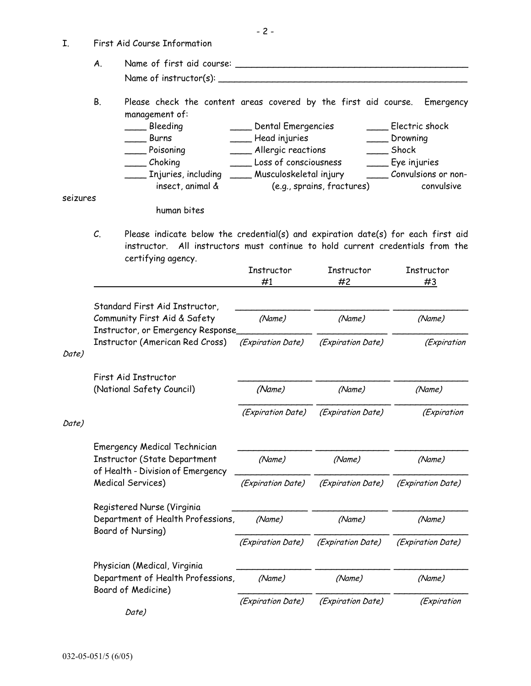| I.       |                                   | First Aid Course Information                                                                                                                                                              |                             |                            |                           |  |
|----------|-----------------------------------|-------------------------------------------------------------------------------------------------------------------------------------------------------------------------------------------|-----------------------------|----------------------------|---------------------------|--|
|          | A.                                |                                                                                                                                                                                           |                             |                            |                           |  |
|          |                                   |                                                                                                                                                                                           |                             |                            |                           |  |
|          | В.                                | Please check the content areas covered by the first aid course.<br>management of:                                                                                                         |                             |                            | Emergency                 |  |
|          |                                   | ____ Bleeding                                                                                                                                                                             | ____ Dental Emergencies     |                            | ____ Electric shock       |  |
|          |                                   | Burns                                                                                                                                                                                     | ____ Head injuries          |                            | ___ Drowning              |  |
|          | Poisoning                         |                                                                                                                                                                                           | ____ Allergic reactions     |                            | Shock                     |  |
|          |                                   | ____ Choking                                                                                                                                                                              | Loss of consciousness       |                            | ___ Eye injuries          |  |
|          |                                   | ____ Injuries, including                                                                                                                                                                  | ____ Musculoskeletal injury |                            | _____ Convulsions or non- |  |
|          |                                   | insect, animal &                                                                                                                                                                          |                             | (e.g., sprains, fractures) | convulsive                |  |
| seizures |                                   | human bites                                                                                                                                                                               |                             |                            |                           |  |
|          | C.                                | Please indicate below the credential(s) and expiration date(s) for each first aid<br>instructor. All instructors must continue to hold current credentials from the<br>certifying agency. | Instructor<br>#1            | Instructor<br>#2           | Instructor<br>#3          |  |
|          |                                   |                                                                                                                                                                                           |                             |                            |                           |  |
|          |                                   | Standard First Aid Instructor,                                                                                                                                                            |                             |                            |                           |  |
|          |                                   | Community First Aid & Safety                                                                                                                                                              | (Name)                      | (Name)                     | (Name)                    |  |
|          |                                   | Instructor, or Emergency Response_                                                                                                                                                        |                             |                            |                           |  |
|          |                                   | Instructor (American Red Cross)                                                                                                                                                           | (Expiration Date)           | (Expiration Date)          | (Expiration               |  |
| Date)    |                                   |                                                                                                                                                                                           |                             |                            |                           |  |
|          |                                   | First Aid Instructor                                                                                                                                                                      |                             |                            |                           |  |
|          |                                   | (National Safety Council)                                                                                                                                                                 | (Name)                      | (Name)                     | (Name)                    |  |
|          |                                   |                                                                                                                                                                                           |                             |                            |                           |  |
|          |                                   |                                                                                                                                                                                           | (Expiration Date)           | (Expiration Date)          | (Expiration               |  |
| Date)    |                                   |                                                                                                                                                                                           |                             |                            |                           |  |
|          |                                   |                                                                                                                                                                                           |                             |                            |                           |  |
|          |                                   | <b>Emergency Medical Technician</b><br><b>Instructor (State Department</b>                                                                                                                | (Name)                      | (Name)                     | (Name)                    |  |
|          | of Health - Division of Emergency |                                                                                                                                                                                           |                             |                            |                           |  |
|          |                                   | Medical Services)                                                                                                                                                                         | (Expiration Date)           | (Expiration Date)          | (Expiration Date)         |  |
|          |                                   |                                                                                                                                                                                           |                             |                            |                           |  |
|          |                                   | Registered Nurse (Virginia                                                                                                                                                                |                             |                            |                           |  |
|          | Department of Health Professions, |                                                                                                                                                                                           | (Name)                      | (Name)                     | (Name)                    |  |
|          |                                   | Board of Nursing)                                                                                                                                                                         |                             |                            |                           |  |
|          |                                   |                                                                                                                                                                                           | (Expiration Date)           | (Expiration Date)          | (Expiration Date)         |  |
|          |                                   | Physician (Medical, Virginia                                                                                                                                                              |                             |                            |                           |  |
|          |                                   | Department of Health Professions,                                                                                                                                                         | (Name)                      | (Name)                     | (Name)                    |  |
|          |                                   | Board of Medicine)                                                                                                                                                                        |                             |                            |                           |  |
|          |                                   |                                                                                                                                                                                           | (Expiration Date)           | (Expiration Date)          | (Expiration               |  |
|          |                                   | Date)                                                                                                                                                                                     |                             |                            |                           |  |

- 2 -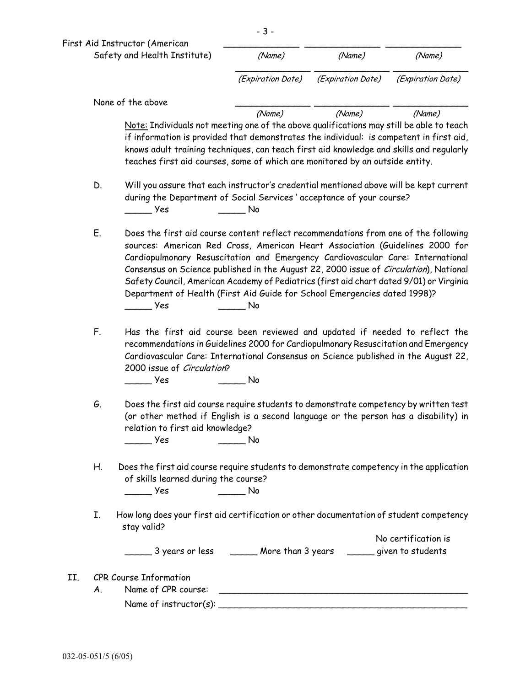|     |    | Safety and Health Institute)                                                                                                                                                                                                                                                                                                                                                                                                                                                                                                  | (Name)                                                           | (Name)            | (Name)              |
|-----|----|-------------------------------------------------------------------------------------------------------------------------------------------------------------------------------------------------------------------------------------------------------------------------------------------------------------------------------------------------------------------------------------------------------------------------------------------------------------------------------------------------------------------------------|------------------------------------------------------------------|-------------------|---------------------|
|     |    |                                                                                                                                                                                                                                                                                                                                                                                                                                                                                                                               | (Expiration Date)                                                | (Expiration Date) | (Expiration Date)   |
|     |    | None of the above                                                                                                                                                                                                                                                                                                                                                                                                                                                                                                             |                                                                  |                   |                     |
|     |    | Note: Individuals not meeting one of the above qualifications may still be able to teach<br>if information is provided that demonstrates the individual: is competent in first aid,<br>knows adult training techniques, can teach first aid knowledge and skills and regularly<br>teaches first aid courses, some of which are monitored by an outside entity.                                                                                                                                                                | (Name)                                                           | (Name)            | (Name)              |
|     | D. | Will you assure that each instructor's credential mentioned above will be kept current<br>during the Department of Social Services ' acceptance of your course?<br>yes (                                                                                                                                                                                                                                                                                                                                                      | <b>No.</b>                                                       |                   |                     |
|     | Ε. | Does the first aid course content reflect recommendations from one of the following<br>sources: American Red Cross, American Heart Association (Guidelines 2000 for<br>Cardiopulmonary Resuscitation and Emergency Cardiovascular Care: International<br>Consensus on Science published in the August 22, 2000 issue of Circulation), National<br>Safety Council, American Academy of Pediatrics (first aid chart dated 9/01) or Virginia<br>Department of Health (First Aid Guide for School Emergencies dated 1998)?<br>Yes | No                                                               |                   |                     |
|     | F. | Has the first aid course been reviewed and updated if needed to reflect the<br>recommendations in Guidelines 2000 for Cardiopulmonary Resuscitation and Emergency<br>Cardiovascular Care: International Consensus on Science published in the August 22,<br>2000 issue of Circulation?<br>_ Yes                                                                                                                                                                                                                               | No                                                               |                   |                     |
|     | G. | Does the first aid course require students to demonstrate competency by written test<br>(or other method if English is a second language or the person has a disability) in<br>relation to first aid knowledge?<br>$\overline{\phantom{a}}$ Yes                                                                                                                                                                                                                                                                               | <b>Simple Street No</b>                                          |                   |                     |
|     | Н. | Does the first aid course require students to demonstrate competency in the application<br>of skills learned during the course?<br>$\rule{1em}{0.15mm}$ Yes                                                                                                                                                                                                                                                                                                                                                                   | $\rule{1em}{0.15mm}$ No                                          |                   |                     |
|     | I. | How long does your first aid certification or other documentation of student competency<br>stay valid?                                                                                                                                                                                                                                                                                                                                                                                                                        |                                                                  |                   |                     |
|     |    | ______ 3 years or less _______ More than 3 years ______ given to students                                                                                                                                                                                                                                                                                                                                                                                                                                                     |                                                                  |                   | No certification is |
| II. | Α. | <b>CPR Course Information</b><br>Name of CPR course:                                                                                                                                                                                                                                                                                                                                                                                                                                                                          | <u> 1980 - Andrea Stadt Britain, amerikansk politik (* 1950)</u> |                   |                     |
|     |    |                                                                                                                                                                                                                                                                                                                                                                                                                                                                                                                               |                                                                  |                   |                     |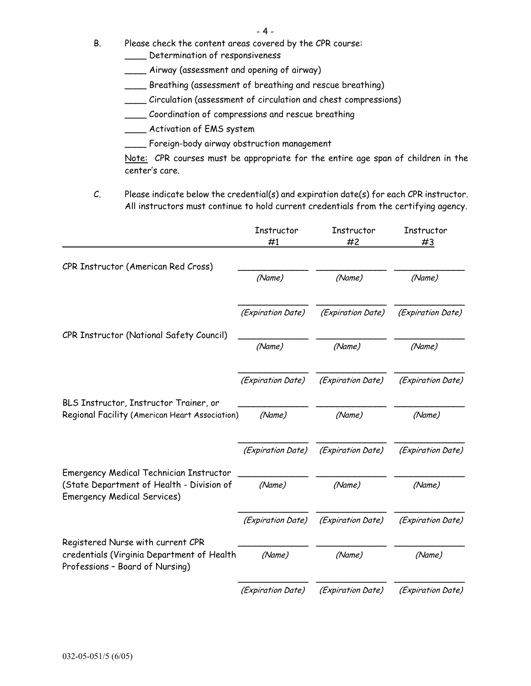- B. Please check the content areas covered by the CPR course:
	- \_\_\_\_ Determination of responsiveness
	- \_\_\_\_ Airway (assessment and opening of airway)
	- \_\_\_\_ Breathing (assessment of breathing and rescue breathing)
	- \_\_\_\_ Circulation (assessment of circulation and chest compressions)
	- \_\_\_\_ Coordination of compressions and rescue breathing
	- \_\_\_\_ Activation of EMS system
	- \_\_\_\_ Foreign-body airway obstruction management

 Note: CPR courses must be appropriate for the entire age span of children in the center's care.

C. Please indicate below the credential(s) and expiration date(s) for each CPR instructor. All instructors must continue to hold current credentials from the certifying agency.

|                                                                                          | Instructor<br>#1  | Instructor<br>#2  | Instructor<br>#3  |
|------------------------------------------------------------------------------------------|-------------------|-------------------|-------------------|
| CPR Instructor (American Red Cross)                                                      |                   |                   |                   |
|                                                                                          | (Name)            | (Name)            | (Name)            |
|                                                                                          | (Expiration Date) | (Expiration Date) | (Expiration Date) |
| CPR Instructor (National Safety Council)                                                 | (Name)            | (Name)            | (Name)            |
|                                                                                          | (Expiration Date) | (Expiration Date) | (Expiration Date) |
| BLS Instructor, Instructor Trainer, or<br>Regional Facility (American Heart Association) | (Name)            | (Name)            | (Name)            |
|                                                                                          | (Expiration Date) | (Expiration Date) | (Expiration Date) |
| <b>Emergency Medical Technician Instructor</b>                                           |                   |                   |                   |
| (State Department of Health - Division of<br><b>Emergency Medical Services)</b>          | (Name)            | (Name)            | (Name)            |
|                                                                                          | (Expiration Date) | (Expiration Date) | (Expiration Date) |
| Registered Nurse with current CPR                                                        |                   |                   |                   |
| credentials (Virginia Department of Health<br>Professions - Board of Nursing)            | (Name)            | (Name)            | (Name)            |
|                                                                                          | (Expiration Date) | (Expiration Date) | (Expiration Date) |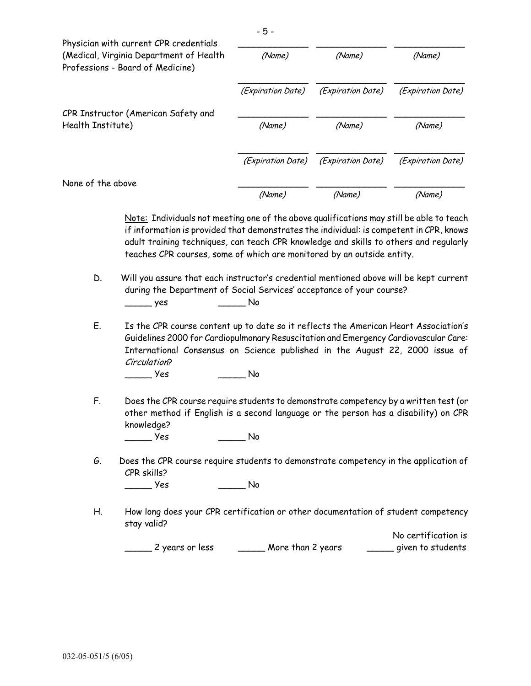| Physician with current CPR credentials<br>(Medical, Virginia Department of Health<br>Professions - Board of Medicine)                                                                                                                                                                                                                                  | (Name)                   | (Name)            | (Name)            |
|--------------------------------------------------------------------------------------------------------------------------------------------------------------------------------------------------------------------------------------------------------------------------------------------------------------------------------------------------------|--------------------------|-------------------|-------------------|
|                                                                                                                                                                                                                                                                                                                                                        | <i>(Expiration Date)</i> | (Expiration Date) | (Expiration Date) |
| CPR Instructor (American Safety and<br>Health Institute)                                                                                                                                                                                                                                                                                               | (Name)                   | (Name)            | (Name)            |
|                                                                                                                                                                                                                                                                                                                                                        | (Expiration Date)        | (Expiration Date) | (Expiration Date) |
| None of the above                                                                                                                                                                                                                                                                                                                                      |                          |                   |                   |
|                                                                                                                                                                                                                                                                                                                                                        | (Name)                   | (Name)            | (Name)            |
| Note: Individuals not meeting one of the above qualifications may still be able to teach<br>if information is provided that demonstrates the individual: is competent in CPR, knows<br>adult training techniques, can teach CPR knowledge and skills to others and regularly<br>teaches CPR courses, some of which are monitored by an outside entity. |                          |                   |                   |
| D.<br>Will you assure that each instructor's credential mentioned above will be kept current<br>during the Department of Social Services' acceptance of your course?<br>yes                                                                                                                                                                            | No                       |                   |                   |
| F<br>Is the CPR course content up to date so it reflects the American Heart Association's                                                                                                                                                                                                                                                              |                          |                   |                   |

 E. Is the CPR course content up to date so it reflects the American Heart Association's Guidelines 2000 for Cardiopulmonary Resuscitation and Emergency Cardiovascular Care: International Consensus on Science published in the August 22, 2000 issue of Circulation?

 $Yes$  No

- F. Does the CPR course require students to demonstrate competency by a written test (or other method if English is a second language or the person has a disability) on CPR knowledge? \_\_\_\_\_ Yes \_\_\_\_\_ No
- G. Does the CPR course require students to demonstrate competency in the application of CPR skills? \_\_\_\_\_ Yes \_\_\_\_\_ No
- H. How long does your CPR certification or other documentation of student competency stay valid?

 No certification is \_\_\_\_\_ 2 years or less \_\_\_\_\_ More than 2 years \_\_\_\_\_ given to students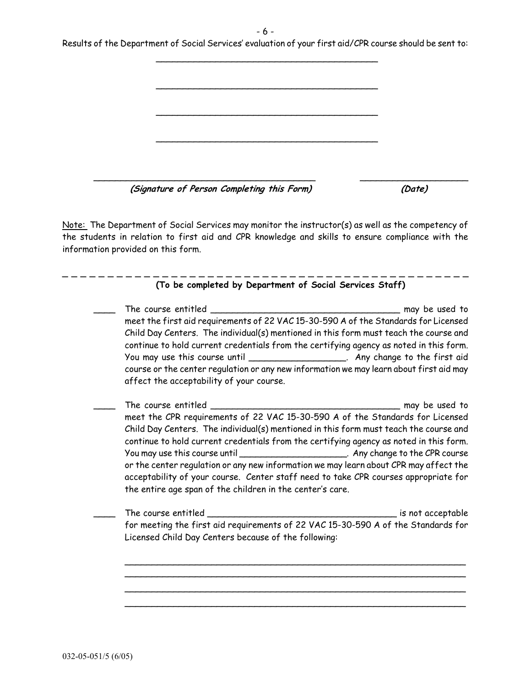- 6 -

| Results of the Department of Social Services' evaluation of your first aid/CPR course should be sent to: |
|----------------------------------------------------------------------------------------------------------|
|                                                                                                          |
|                                                                                                          |

 $\overline{\phantom{a}}$  , where  $\overline{\phantom{a}}$  , where  $\overline{\phantom{a}}$  , where  $\overline{\phantom{a}}$  , where  $\overline{\phantom{a}}$  , where  $\overline{\phantom{a}}$ 

 $\overline{\phantom{a}}$  , where  $\overline{\phantom{a}}$  , where  $\overline{\phantom{a}}$  , where  $\overline{\phantom{a}}$  , where  $\overline{\phantom{a}}$  , where  $\overline{\phantom{a}}$ 

 $\overline{\phantom{a}}$  , where  $\overline{\phantom{a}}$  , where  $\overline{\phantom{a}}$  ,  $\overline{\phantom{a}}$  ,  $\overline{\phantom{a}}$  ,  $\overline{\phantom{a}}$  ,  $\overline{\phantom{a}}$  ,  $\overline{\phantom{a}}$  ,  $\overline{\phantom{a}}$  ,  $\overline{\phantom{a}}$  ,  $\overline{\phantom{a}}$  ,  $\overline{\phantom{a}}$  ,  $\overline{\phantom{a}}$  ,  $\overline{\phantom{a}}$  ,  $\overline{\phantom{a}}$  ,

\_\_\_\_\_\_\_\_\_\_\_\_\_\_\_\_\_\_\_\_\_\_\_\_\_\_\_\_\_\_\_\_\_\_\_\_\_\_\_\_\_ \_\_\_\_\_\_\_\_\_\_\_\_\_\_\_\_\_\_\_\_ **(Signature of Person Completing this Form) (Date)**

Note: The Department of Social Services may monitor the instructor(s) as well as the competency of the students in relation to first aid and CPR knowledge and skills to ensure compliance with the information provided on this form.

| meet the first aid requirements of 22 VAC 15-30-590 A of the Standards for Licensed                                                                                             |  |
|---------------------------------------------------------------------------------------------------------------------------------------------------------------------------------|--|
| Child Day Centers. The individual(s) mentioned in this form must teach the course and                                                                                           |  |
| continue to hold current credentials from the certifying agency as noted in this form.                                                                                          |  |
| You may use this course until ________________________. Any change to the first aid                                                                                             |  |
| course or the center regulation or any new information we may learn about first aid may                                                                                         |  |
| affect the acceptability of your course.                                                                                                                                        |  |
|                                                                                                                                                                                 |  |
| meet the CPR requirements of 22 VAC 15-30-590 A of the Standards for Licensed                                                                                                   |  |
| Child Day Centers. The individual(s) mentioned in this form must teach the course and                                                                                           |  |
| continue to hold current credentials from the certifying agency as noted in this form.                                                                                          |  |
| You may use this course until __________________________. Any change to the CPR course<br>or the center regulation or any new information we may learn about CPR may affect the |  |
| acceptability of your course. Center staff need to take CPR courses appropriate for                                                                                             |  |
| the entire age span of the children in the center's care.                                                                                                                       |  |
|                                                                                                                                                                                 |  |
|                                                                                                                                                                                 |  |
| for meeting the first aid requirements of 22 VAC 15-30-590 A of the Standards for                                                                                               |  |
| Licensed Child Day Centers because of the following:                                                                                                                            |  |
|                                                                                                                                                                                 |  |
|                                                                                                                                                                                 |  |
|                                                                                                                                                                                 |  |
|                                                                                                                                                                                 |  |